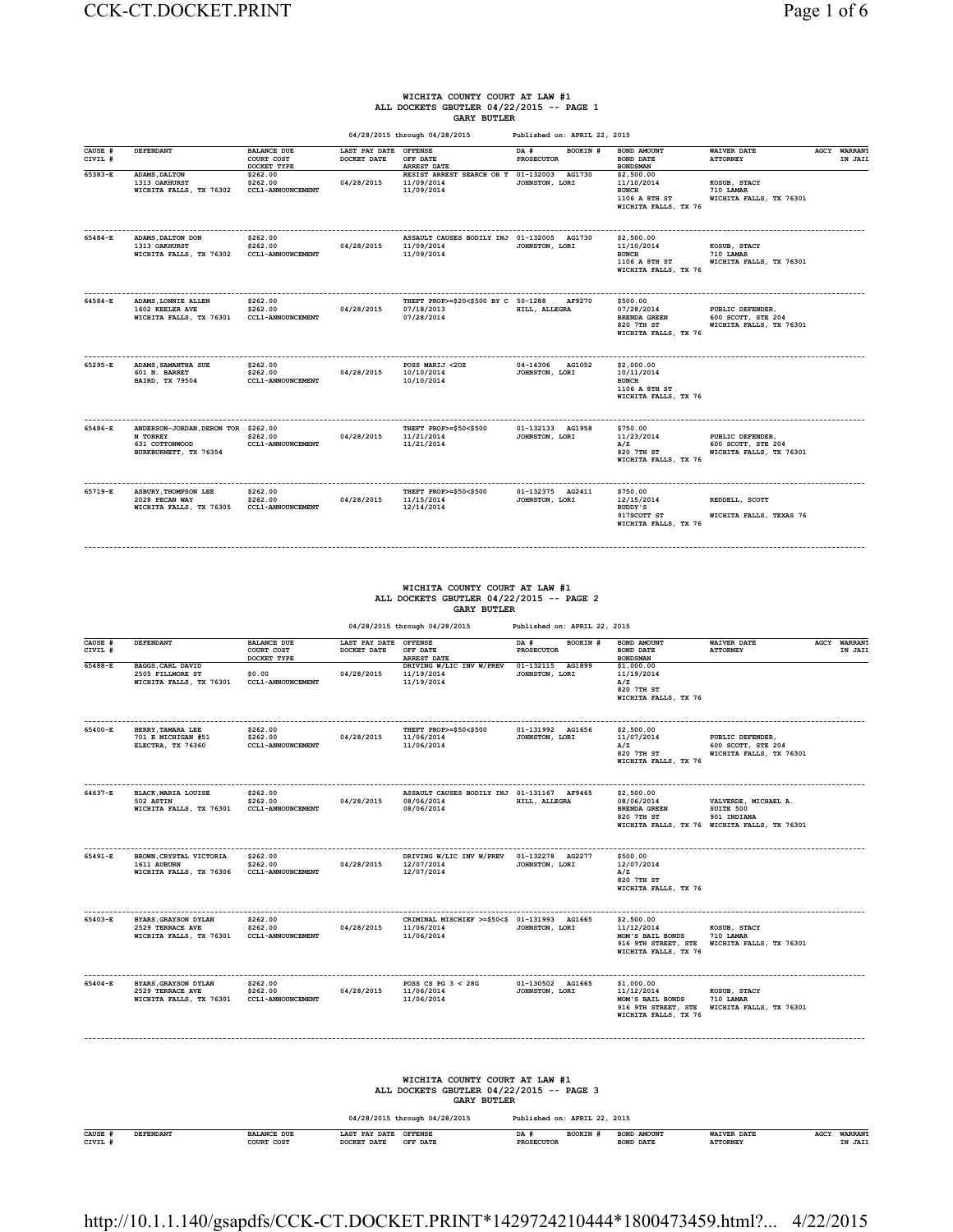# **WICHITA COUNTY COURT AT LAW #1 ALL DOCKETS GBUTLER 04/22/2015 -- PAGE 1**

|                               |                                                                                            |                                                                                |                                                    | <b>GARY BUTLER</b><br>04/28/2015 through 04/28/2015                                                                                    | Published on: APRIL 22, 2015                                                                         |                                                                                                      |                                                                                                  |                                   |
|-------------------------------|--------------------------------------------------------------------------------------------|--------------------------------------------------------------------------------|----------------------------------------------------|----------------------------------------------------------------------------------------------------------------------------------------|------------------------------------------------------------------------------------------------------|------------------------------------------------------------------------------------------------------|--------------------------------------------------------------------------------------------------|-----------------------------------|
| CAUSE #<br>CIVIL #            | <b>DEFENDANT</b>                                                                           | <b>BALANCE DUE</b><br>COURT COST                                               | LAST PAY DATE<br>DOCKET DATE                       | <b>OFFENSE</b><br>OFF DATE                                                                                                             | DA #<br>BOOKIN #<br><b>PROSECUTOR</b>                                                                | BOND AMOUNT<br>BOND DATE                                                                             | WAIVER DATE<br><b>ATTORNEY</b>                                                                   | <b>WARRANT</b><br>AGCY<br>IN JAIL |
| $65383 - E$                   | ADAMS, DALTON<br>1313 OAKHURST<br>WICHITA FALLS, TX 76302                                  | DOCKET TYPE<br>\$262.00<br>\$262.00<br>CCL1-ANNOUNCEMENT                       | 04/28/2015                                         | <b>ARREST DATE</b><br>RESIST ARREST SEARCH OR T<br>11/09/2014<br>11/09/2014                                                            | 01-132003<br>AG1730<br>JOHNSTON, LORI                                                                | <b>BONDSMAN</b><br>\$2,500.00<br>11/10/2014<br><b>BUNCH</b><br>1106 A 8TH ST<br>WICHITA FALLS, TX 76 | KOSUB, STACY<br>710 LAMAR<br>WICHITA FALLS, TX 76301                                             |                                   |
| 65484-E                       | ADAMS, DALTON DON<br>1313 OAKHURST<br>WICHITA FALLS, TX 76302                              | \$262.00<br>\$262.00<br>CCL1-ANNOUNCEMENT                                      | 04/28/2015                                         | ASSAULT CAUSES BODILY INJ 01-132005 AG1730<br>11/09/2014<br>11/09/2014                                                                 | JOHNSTON, LORI                                                                                       | \$2,500.00<br>11/10/2014<br><b>BUNCH</b><br>1106 A 8TH ST<br>WICHITA FALLS, TX 76                    | KOSUB, STACY<br>710 LAMAR<br>WICHITA FALLS, TX 76301                                             |                                   |
| 64584-E                       | ADAMS, LONNIE ALLEN<br>1602 KEELER AVE<br>WICHITA FALLS, TX 76301                          | \$262.00<br>\$262.00<br>CCL1-ANNOUNCEMENT                                      | 04/28/2015                                         | THEFT PROP>=\$20<\$500 BY C 50-1288<br>07/18/2013<br>07/28/2014                                                                        | AF9270<br>HILL, ALLEGRA                                                                              | \$500.00<br>07/28/2014<br>BRENDA GREEN<br>820 7TH ST<br>WICHITA FALLS, TX 76                         | PUBLIC DEFENDER.<br>600 SCOTT, STE 204<br>WICHITA FALLS, TX 76301                                |                                   |
| 65295-E                       | ADAMS, SAMANTHA SUE<br>601 N. BARRET<br>BAIRD, TX 79504                                    | \$262.00<br>\$262.00<br>CCL1-ANNOUNCEMENT                                      | 04/28/2015                                         | POSS MARIJ <20Z<br>10/10/2014<br>10/10/2014                                                                                            | 04-14306 AG1052<br>JOHNSTON, LORI                                                                    | \$2,000.00<br>10/11/2014<br><b>BUNCH</b><br>1106 A 8TH ST<br>WICHITA FALLS, TX 76                    |                                                                                                  |                                   |
| 65486-E                       | ANDERSON-JORDAN, DERON TOR \$262.00<br>N TORREY<br>631 COTTONWOOD<br>BURKBURNETT, TX 76354 | \$262.00<br>CCL1-ANNOUNCEMENT                                                  | 04/28/2015                                         | THEFT PROP>=\$50<\$500<br>11/21/2014<br>11/21/2014                                                                                     | 01-132133 AG1958<br>JOHNSTON, LORI                                                                   | \$750.00<br>11/23/2014<br>A/Z<br>820 7TH ST<br>WICHITA FALLS, TX 76                                  | PUBLIC DEFENDER.<br>600 SCOTT, STE 204<br>WICHITA FALLS, TX 76301                                |                                   |
| 65719-E                       | ASBURY, THOMPSON LEE<br>2028 PECAN WAY<br>WICHITA FALLS, TX 76305                          | \$262.00<br>\$262.00<br>CCL1-ANNOUNCEMENT                                      | 04/28/2015                                         | THEFT PROP>=\$50<\$500<br>11/15/2014<br>12/14/2014                                                                                     | 01-132375 AG2411<br>JOHNSTON, LORI                                                                   | \$750.00<br>12/15/2014<br>BUDDY'S<br>917SCOTT ST<br>WICHITA FALLS, TX 76                             | REDDELL, SCOTT<br>WICHITA FALLS, TEXAS 76                                                        |                                   |
| CAUSE #<br>CIVIL #<br>65488-E | DEFENDANT<br>BAGGS, CARL DAVID<br>2505 FILLMORE ST<br>WICHITA FALLS, TX 76301              | <b>BALANCE DUE</b><br>COURT COST<br>DOCKET TYPE<br>\$0.00<br>CCL1-ANNOUNCEMENT | LAST PAY DATE OFFENSE<br>DOCKET DATE<br>04/28/2015 | <b>GARY BUTLER</b><br>04/28/2015 through 04/28/2015<br>OFF DATE<br>ARREST DATE<br>DRIVING W/LIC INV W/PREV<br>11/19/2014<br>11/19/2014 | Published on: APRIL 22, 2015<br>DA #<br>BOOKIN #<br>PROSECUTOR<br>01-132115 AG1899<br>JOHNSTON, LORI | BOND AMOUNT<br><b>BOND DATE</b><br><b>BONDSMAN</b><br>\$1,000.00<br>11/19/2014<br>A/Z                | <b>WAIVER DATE</b><br><b>ATTORNEY</b>                                                            | <b>AGCY WARRANT</b><br>IN JAII    |
|                               |                                                                                            |                                                                                |                                                    | --------------------                                                                                                                   | ------------------                                                                                   | 820 7TH ST<br>WICHITA FALLS, TX 76<br>-------------                                                  | ----------------------------                                                                     |                                   |
| 65400-E                       | BERRY, TAMARA LEE<br>701 E MICHIGAN #51<br>ELECTRA, TX 76360                               | \$262.00<br>\$262.00<br>CCL1-ANNOUNCEMENT                                      | 04/28/2015                                         | THEFT PROP>=\$50<\$500<br>11/06/2014<br>11/06/2014                                                                                     | 01-131992 AG1656<br>JOHNSTON, LORI                                                                   | \$2,500.00<br>11/07/2014<br>A/Z<br>820 7TH ST<br>WICHITA FALLS, TX 76                                | PUBLIC DEFENDER.<br>600 SCOTT, STE 204<br>WICHITA FALLS, TX 76301                                |                                   |
| 64637-E                       | BLACK MARTA LOUISE<br>502 ASTIN<br>WICHITA FALLS, TX 76301                                 | \$262.00<br>\$262.00<br>CCL1-ANNOUNCEMENT                                      | 04/28/2015                                         | ASSAULT CAUSES BODILY INJ 01-131167 AF9465<br>08/06/2014<br>08/06/2014                                                                 | HILL, ALLEGRA                                                                                        | \$2.500.00<br>08/06/2014<br>BRENDA GREEN<br>820 7TH ST                                               | VALVERDE, MICHAEL A.<br>SUITE 500<br>901 INDIANA<br>WICHITA FALLS, TX 76 WICHITA FALLS, TX 76301 |                                   |
| 65491-E                       | BROWN CRYSTAL VICTORIA<br>1611 AUBURN<br>WICHITA FALLS, TX 76306 CCL1-ANNOUNCEMENT         | \$262.00<br>\$262.00                                                           | 04/28/2015                                         | DRIVING W/LIC INV W/PREV 01-132278 AG2277<br>12/07/2014<br>12/07/2014                                                                  | JOHNSTON, LORI                                                                                       | \$500.00<br>12/07/2014<br>A/Z<br>820 7TH ST<br>WICHITA FALLS, TX 76                                  |                                                                                                  |                                   |
| $65403 - R$                   | <b>BYARS GRAYSON DYLAN</b><br>2529 TERRACE AVE<br>WICHITA FALLS, TX 76301                  | \$262.00<br>\$262.00<br>CCL1-ANNOUNCEMENT                                      | 04/28/2015                                         | <br>CRIMINAL MISCHIEF >=\$50<\$ 01-131993 AG1665<br>11/06/2014<br>11/06/2014                                                           | JOHNSTON, LORI                                                                                       | \$2,500.00<br>11/12/2014<br>MOM'S BAIL BONDS<br>WICHITA FALLS, TX 76                                 | KOSUB, STACY<br>710 LAMAR<br>916 9TH STREET, STE WICHITA FALLS, TX 76301                         |                                   |
| 65404-E                       | BYARS, GRAYSON DYLAN<br>2529 TERRACE AVE<br>WICHITA FALLS, TX 76301 CCL1-ANNOUNCEMENT      | \$262.00<br>\$262.00                                                           | 04/28/2015                                         | POSS CS PG $3 < 28$ G<br>11/06/2014<br>11/06/2014                                                                                      | 01-130502 AG1665<br>JOHNSTON, LORI                                                                   | \$1,000.00<br>11/12/2014<br>MOM'S BAIL BONDS<br>WICHITA FALLS, TX 76                                 | KOSUB, STACY<br>710 LAMAR<br>916 9TH STREET, STE WICHITA FALLS, TX 76301                         |                                   |
|                               |                                                                                            |                                                                                |                                                    | WICHITA COUNTY COURT AT LAW #1<br>ALL DOCKETS GBUTLER 04/22/2015 -- PAGE 3<br><b>GARY BUTLER</b>                                       |                                                                                                      |                                                                                                      |                                                                                                  |                                   |
|                               |                                                                                            |                                                                                |                                                    | 04/28/2015 through 04/28/2015                                                                                                          | Published on: APRIL 22, 2015                                                                         |                                                                                                      |                                                                                                  |                                   |
| CAUSE #<br>CIVIL #            | DEFENDANT                                                                                  | <b>BALANCE DUE</b><br>COURT COST                                               | LAST PAY DATE OFFENSE<br>DOCKET DATE               | OFF DATE                                                                                                                               | BOOKIN #<br>DA #<br>PROSECUTOR                                                                       | BOND AMOUNT<br>BOND DATE                                                                             | <b>WAIVER DATE</b><br><b>ATTORNEY</b>                                                            | AGCY WARRANT<br>IN JAII           |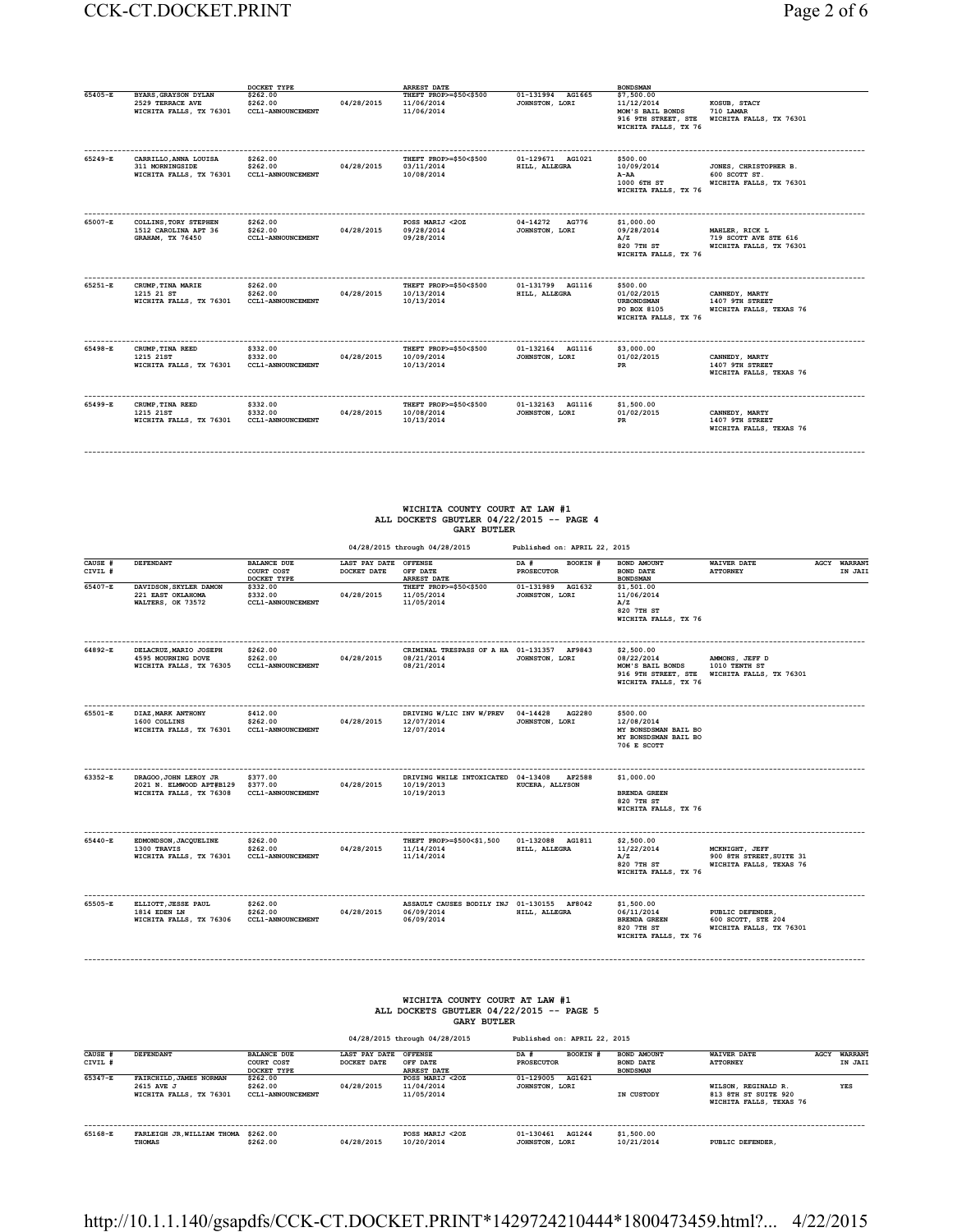### CCK-CT.DOCKET.PRINT Page 2 of 6

|         |                                                                          | DOCKET TYPE                                      |            | ARREST DATE                                        |                                     | <b>BOND SMAN</b>                                                                            |                                                                    |
|---------|--------------------------------------------------------------------------|--------------------------------------------------|------------|----------------------------------------------------|-------------------------------------|---------------------------------------------------------------------------------------------|--------------------------------------------------------------------|
| 65405-E | BYARS, GRAYSON DYLAN<br>2529 TERRACE AVE<br>WICHITA FALLS, TX 76301      | \$262.00<br>\$262.00<br><b>CCL1-ANNOUNCEMENT</b> | 04/28/2015 | THEFT PROP>=\$50<\$500<br>11/06/2014<br>11/06/2014 | 01-131994 AG1665<br>JOHNSTON, LORI  | \$7,500.00<br>11/12/2014<br>MOM'S BAIL BONDS<br>916 9TH STREET, STE<br>WICHITA FALLS, TX 76 | KOSUB, STACY<br>710 LAMAR<br>WICHITA FALLS, TX 76301               |
| 65249-E | <br>CARRILLO, ANNA LOUISA<br>311 MORNINGSIDE<br>WICHITA FALLS, TX 76301  | \$262.00<br>\$262.00<br><b>CCL1-ANNOUNCEMENT</b> | 04/28/2015 | THEFT PROP>=\$50<\$500<br>03/11/2014<br>10/08/2014 | 01-129671 AG1021<br>HILL, ALLEGRA   | \$500.00<br>10/09/2014<br>A-AA<br>1000 6TH ST<br>WICHITA FALLS, TX 76                       | JONES, CHRISTOPHER B.<br>600 SCOTT ST.<br>WICHITA FALLS, TX 76301  |
| 65007-E | <b>COLLINS, TORY STEPHEN</b><br>1512 CAROLINA APT 36<br>GRAHAM, TX 76450 | \$262.00<br>\$262.00<br><b>CCL1-ANNOUNCEMENT</b> | 04/28/2015 | POSS MARIJ <20Z<br>09/28/2014<br>09/28/2014        | 04-14272<br>AG776<br>JOHNSTON, LORI | \$1,000.00<br>09/28/2014<br>A/Z<br>820 7TH ST<br>WICHITA FALLS, TX 76                       | MAHLER, RICK L<br>719 SCOTT AVE STE 616<br>WICHITA FALLS, TX 76301 |
| 65251-E | CRUMP, TINA MARIE<br>1215 21 ST<br>WICHITA FALLS, TX 76301               | \$262.00<br>\$262.00<br><b>CCL1-ANNOUNCEMENT</b> | 04/28/2015 | THEFT PROP>=\$50<\$500<br>10/13/2014<br>10/13/2014 | 01-131799 AG1116<br>HILL, ALLEGRA   | \$500.00<br>01/02/2015<br><b>URBONDSMAN</b><br>PO BOX 8105<br>WICHITA FALLS, TX 76          | CANNEDY, MARTY<br>1407 9TH STREET<br>WICHITA FALLS, TEXAS 76       |
| 65498-E | CRUMP, TINA REED<br>1215 21ST<br>WICHITA FALLS, TX 76301                 | \$332.00<br>\$332.00<br><b>CCL1-ANNOUNCEMENT</b> | 04/28/2015 | THEFT PROP>=\$50<\$500<br>10/09/2014<br>10/13/2014 | 01-132164 AG1116<br>JOHNSTON, LORI  | \$3,000.00<br>01/02/2015<br>PR                                                              | CANNEDY, MARTY<br>1407 9TH STREET<br>WICHITA FALLS, TEXAS 76       |
| 65499-E | CRUMP, TINA REED<br>1215 21ST<br>WICHITA FALLS, TX 76301                 | \$332.00<br>\$332.00<br><b>CCL1-ANNOUNCEMENT</b> | 04/28/2015 | THEFT PROP>=\$50<\$500<br>10/08/2014<br>10/13/2014 | 01-132163 AG1116<br>JOHNSTON, LORI  | \$1,500,00<br>01/02/2015<br>PR                                                              | CANNEDY, MARTY<br>1407 9TH STREET<br>WICHITA FALLS, TEXAS 76       |
|         |                                                                          |                                                  |            |                                                    |                                     |                                                                                             |                                                                    |

## **WICHITA COUNTY COURT AT LAW #1 ALL DOCKETS GBUTLER 04/22/2015 -- PAGE 4 GARY BUTLER**

|                    |                                                                                                                                       |                                                                                                                                                            | 04/28/2015 through 04/28/2015        |                                                                                                                                   | Published on: APRIL 22, 2015          |                                                                                          |                                                                                |                         |
|--------------------|---------------------------------------------------------------------------------------------------------------------------------------|------------------------------------------------------------------------------------------------------------------------------------------------------------|--------------------------------------|-----------------------------------------------------------------------------------------------------------------------------------|---------------------------------------|------------------------------------------------------------------------------------------|--------------------------------------------------------------------------------|-------------------------|
| CAUSE #<br>CIVIL # | <b>DEFENDANT</b>                                                                                                                      | <b>BALANCE DUE</b><br>COURT COST                                                                                                                           | LAST PAY DATE OFFENSE<br>DOCKET DATE | OFF DATE                                                                                                                          | DA #<br>BOOKIN #<br><b>PROSECUTOR</b> | BOND AMOUNT<br><b>BOND DATE</b>                                                          | <b>WAIVER DATE</b><br><b>ATTORNEY</b>                                          | AGCY WARRANT<br>IN JAII |
| 65407-E            | DAVIDSON, SKYLER DAMON<br>221 EAST OKLAHOMA<br>WALTERS, OK 73572                                                                      | DOCKET TYPE<br>\$332.00<br>\$332.00<br>CCL1-ANNOUNCEMENT                                                                                                   | 04/28/2015                           | <b>ARREST DATE</b><br>THEFT PROP>=\$50<\$500<br>11/05/2014<br>11/05/2014                                                          | 01-131989 AG1632<br>JOHNSTON, LORI    | <b>BONDSMAN</b><br>\$1,501.00<br>11/06/2014<br>A/Z<br>820 7TH ST<br>WICHITA FALLS, TX 76 |                                                                                |                         |
| 64892-R            | DELACRUZ, MARIO JOSEPH<br>4595 MOURNING DOVE<br>WICHITA FALLS, TX 76305                                                               | \$262.00<br>\$262.00<br>CCL1-ANNOUNCEMENT                                                                                                                  | 04/28/2015                           | CRIMINAL TRESPASS OF A HA 01-131357 AF9843<br>08/21/2014<br>08/21/2014                                                            | JOHNSTON, LORI                        | \$2.500.00<br>08/22/2014<br>MOM'S BAIL BONDS<br>WICHITA FALLS, TX 76                     | AMMONS, JEFF D<br>1010 TENTH ST<br>916 9TH STREET, STE WICHITA FALLS, TX 76301 |                         |
| 65501-E            | DIAZ, MARK ANTHONY<br>\$412.00<br>1600 COLLINS<br>\$262.00<br>WICHITA FALLS, TX 76301<br>CCL1-ANNOUNCEMENT                            |                                                                                                                                                            | 04/28/2015                           | DRIVING W/LIC INV W/PREV 04-14428 AG2280<br>12/07/2014<br>12/07/2014                                                              | JOHNSTON, LORI                        | \$500.00<br>12/08/2014<br>MY BONSDSMAN BAIL BO<br>MY BONSDSMAN BAIL BO<br>706 E SCOTT    |                                                                                |                         |
| 63352-R            | --------------------------<br>DRAGOO, JOHN LEROY JR<br>2021 N. ELMWOOD APT#B129 \$377.00<br>WICHITA FALLS, TX 76308 CCL1-ANNOUNCEMENT | \$377.00                                                                                                                                                   | 04/28/2015                           | DRIVING WHILE INTOXICATED 04-13408 AF2588<br>10/19/2013<br>10/19/2013                                                             | KUCERA, ALLYSON                       | \$1.000.00<br><b>BRENDA GREEN</b><br>820 7TH ST<br>WICHITA FALLS, TX 76                  |                                                                                |                         |
| 65440-E            | EDMONDSON, JACQUELINE<br>1300 TRAVIS<br>WICHITA FALLS, TX 76301                                                                       | \$262.00<br>\$262.00<br><b>CCL1-ANNOUNCEMENT</b>                                                                                                           | 04/28/2015                           | THEFT PROP>=\$500<\$1,500<br>11/14/2014<br>11/14/2014                                                                             | 01-132088 AG1811<br>HILL, ALLEGRA     | \$2,500.00<br>11/22/2014<br>A/Z<br>820 7TH ST<br>WICHITA FALLS, TX 76                    | MCKNIGHT, JEFF<br>900 8TH STREET, SUITE 31<br>WICHITA FALLS, TEXAS 76          |                         |
| 65505-E            | ----------------------<br>ELLIOTT, JESSE PAUL<br>1814 EDEN LN<br>WICHITA FALLS, TX 76306                                              | \$262.00<br>\$262.00<br>CCL1-ANNOUNCEMENT                                                                                                                  | 04/28/2015                           | ASSAULT CAUSES BODILY INJ 01-130155 AF8042<br>06/09/2014<br>06/09/2014                                                            | HILL, ALLEGRA                         | \$1,500.00<br>06/11/2014<br><b>BRENDA GREEN</b><br>820 7TH ST<br>WICHITA FALLS, TX 76    | PUBLIC DEFENDER,<br>600 SCOTT, STE 204<br>WICHITA FALLS, TX 76301              |                         |
|                    |                                                                                                                                       |                                                                                                                                                            |                                      | WICHITA COUNTY COURT AT LAW #1<br>ALL DOCKETS GBUTLER 04/22/2015 -- PAGE 5<br><b>GARY BUTLER</b><br>04/28/2015 through 04/28/2015 | Published on: APRIL 22, 2015          |                                                                                          |                                                                                |                         |
| CAUSE #            | DEFENDANT                                                                                                                             | <b>BALANCE DUE</b>                                                                                                                                         | LAST PAY DATE OFFENSE                |                                                                                                                                   | BOOKIN #<br>DA #                      | BOND AMOUNT                                                                              | <b>WAIVER DATE</b>                                                             | AGCY WARRANT            |
| CIVIL #            |                                                                                                                                       | COURT COST<br>DOCKET TYPE                                                                                                                                  | DOCKET DATE                          | OFF DATE<br><b>ARREST DATE</b>                                                                                                    | <b>PROSECUTOR</b>                     | BOND DATE<br><b>BONDSMAN</b>                                                             | <b>ATTORNEY</b>                                                                | IN JAII                 |
| $65347 - E$        | FAIRCHILD, JAMES NORMAN<br>2615 AVE J<br>WICHITA FALLS, TX 76301                                                                      | POSS MARIJ <20Z<br>01-129005 AG1621<br>\$262.00<br>04/28/2015<br>\$262.00<br>11/04/2014<br>JOHNSTON, LORI<br>CCL1-ANNOUNCEMENT<br>11/05/2014<br>IN CUSTODY |                                      | WILSON, REGINALD R.<br>813 8TH ST SUITE 920<br>WICHITA FALLS, TEXAS 76                                                            | <b>YES</b>                            |                                                                                          |                                                                                |                         |
| 65168-E            | FARLEIGH JR, WILLIAM THOMA \$262.00<br><b>THOMAS</b>                                                                                  | \$262.00                                                                                                                                                   | 04/28/2015                           | POSS MARIJ <20Z<br>10/20/2014                                                                                                     | 01-130461 AG1244<br>JOHNSTON, LORI    | \$1,500.00<br>10/21/2014                                                                 | PUBLIC DEFENDER                                                                |                         |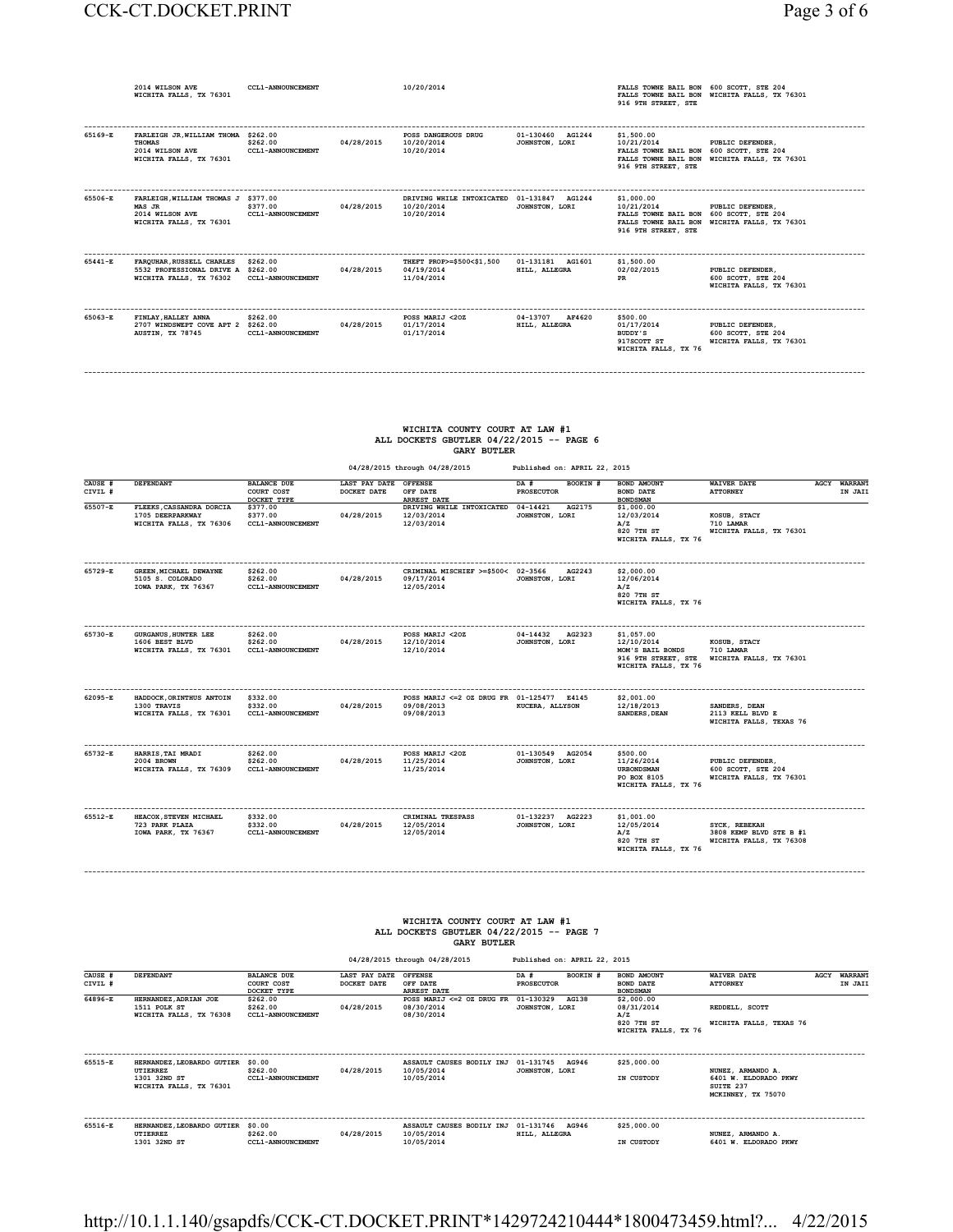|             | 2014 WILSON AVE<br>WICHITA FALLS, TX 76301                                                         | <b>CCL1-ANNOUNCEMENT</b>             |            | 10/20/2014                                                             |                                     | FALLS TOWNE BAIL BON 600 SCOTT, STE 204<br>916 9TH STREET, STE                             | FALLS TOWNE BAIL BON WICHITA FALLS, TX 76301                      |
|-------------|----------------------------------------------------------------------------------------------------|--------------------------------------|------------|------------------------------------------------------------------------|-------------------------------------|--------------------------------------------------------------------------------------------|-------------------------------------------------------------------|
| 65169-E     | FARLEIGH JR. WILLIAM THOMA \$262.00<br><b>THOMAS</b><br>2014 WILSON AVE<br>WICHITA FALLS, TX 76301 | \$262.00<br><b>CCL1-ANNOUNCEMENT</b> | 04/28/2015 | POSS DANGEROUS DRUG<br>10/20/2014<br>10/20/2014                        | 01-130460 AG1244<br>JOHNSTON, LORI  | \$1,500,00<br>10/21/2014<br>FALLS TOWNE BAIL BON 600 SCOTT, STE 204<br>916 9TH STREET, STE | PUBLIC DEFENDER,<br>FALLS TOWNE BAIL BON WICHITA FALLS, TX 76301  |
| 65506-E     | FARLEIGH, WILLIAM THOMAS J \$377.00<br>MAS JR<br>2014 WILSON AVE<br>WICHITA FALLS, TX 76301        | \$377.00<br>CCL1-ANNOUNCEMENT        | 04/28/2015 | DRIVING WHILE INTOXICATED 01-131847 AG1244<br>10/20/2014<br>10/20/2014 | JOHNSTON, LORI                      | \$1,000.00<br>10/21/2014<br>FALLS TOWNE BAIL BON 600 SCOTT, STE 204<br>916 9TH STREET, STE | PUBLIC DEFENDER.<br>FALLS TOWNE BAIL BON WICHITA FALLS, TX 76301  |
| $65441 - R$ | FAROUHAR, RUSSELL CHARLES<br>5532 PROFESSIONAL DRIVE A \$262.00<br>WICHITA FALLS, TX 76302         | \$262.00<br><b>CCL1-ANNOUNCEMENT</b> | 04/28/2015 | THEFT PROP>=\$500<\$1,500<br>04/19/2014<br>11/04/2014                  | 01-131181 AG1601<br>HILL, ALLEGRA   | \$1,500,00<br>02/02/2015<br><b>PR</b>                                                      | PUBLIC DEFENDER,<br>600 SCOTT, STE 204<br>WICHITA FALLS, TX 76301 |
| 65063-E     | FINLAY, HALLEY ANNA<br>2707 WINDSWEPT COVE APT 2 \$262.00<br>AUSTIN, TX 78745                      | \$262.00<br><b>CCL1-ANNOUNCEMENT</b> | 04/28/2015 | POSS MARIJ <20Z<br>01/17/2014<br>01/17/2014                            | 04-13707<br>AF4620<br>HILL, ALLEGRA | \$500.00<br>01/17/2014<br>BUDDY'S<br>917SCOTT ST<br>WICHITA FALLS, TX 76                   | PUBLIC DEFENDER.<br>600 SCOTT, STE 204<br>WICHITA FALLS, TX 76301 |

#### **WICHITA COUNTY COURT AT LAW #1 ALL DOCKETS GBUTLER 04/22/2015 -- PAGE 6 GARY BUTLER**

**------------------------------------------------------------------------------------------------------------------------------------------------------------------------------------------**

|                    |                                                                          |                                                  |                                      | 04/28/2015 through 04/28/2015                                          | Published on: APRIL 22, 2015         |                                                                                             |                                                                     |                                |
|--------------------|--------------------------------------------------------------------------|--------------------------------------------------|--------------------------------------|------------------------------------------------------------------------|--------------------------------------|---------------------------------------------------------------------------------------------|---------------------------------------------------------------------|--------------------------------|
| CAUSE #<br>CIVIL # | DEFENDANT                                                                | <b>BALANCE DUE</b><br>COURT COST<br>DOCKET TYPE  | LAST PAY DATE OFFENSE<br>DOCKET DATE | OFF DATE<br><b>ARREST DATE</b>                                         | BOOKIN #<br>DA #<br>PROSECUTOR       | <b>BOND AMOUNT</b><br><b>BOND DATE</b><br><b>BONDSMAN</b>                                   | <b>WAIVER DATE</b><br><b>ATTORNEY</b>                               | <b>AGCY WARRANT</b><br>IN JAII |
| 65507-E            | FLEEKS, CASSANDRA DORCIA<br>1705 DEERPARKWAY<br>WICHITA FALLS, TX 76306  | \$377.00<br>\$377.00<br><b>CCL1-ANNOUNCEMENT</b> | 04/28/2015                           | DRIVING WHILE INTOXICATED<br>12/03/2014<br>12/03/2014                  | 04-14421<br>AG2175<br>JOHNSTON, LORI | \$1,000.00<br>12/03/2014<br>A/Z<br>820 7TH ST<br>WICHITA FALLS, TX 76                       | KOSUB, STACY<br>710 LAMAR<br>WICHITA FALLS, TX 76301                |                                |
| 65729-E            | GREEN, MICHAEL DEWAYNE<br>5105 S. COLORADO<br>IOWA PARK, TX 76367        | \$262.00<br>\$262.00<br><b>CCL1-ANNOUNCEMENT</b> | 04/28/2015                           | CRIMINAL MISCHIEF >=\$500< 02-3566<br>09/17/2014<br>12/05/2014         | AG2243<br>JOHNSTON, LORI             | \$2,000.00<br>12/06/2014<br>A/Z<br>820 7TH ST<br>WICHITA FALLS, TX 76                       |                                                                     |                                |
| 65730-E            | <b>GURGANUS, HUNTER LEE</b><br>1606 BEST BLVD<br>WICHITA FALLS, TX 76301 | \$262.00<br>\$262.00<br><b>CCL1-ANNOUNCEMENT</b> | 04/28/2015                           | POSS MARIJ <20Z<br>12/10/2014<br>12/10/2014                            | 04-14432<br>AG2323<br>JOHNSTON, LORI | \$1,057.00<br>12/10/2014<br>MOM'S BAIL BONDS<br>916 9TH STREET, STE<br>WICHITA FALLS, TX 76 | KOSUB, STACY<br>710 LAMAR<br>WICHITA FALLS, TX 76301                |                                |
| 62095-E            | HADDOCK, ORINTHUS ANTOIN<br>1300 TRAVIS<br>WICHITA FALLS, TX 76301       | \$332.00<br>\$332.00<br><b>CCL1-ANNOUNCEMENT</b> | 04/28/2015                           | POSS MARIJ <= 2 OZ DRUG FR 01-125477 E4145<br>09/08/2013<br>09/08/2013 | <b>KUCERA, ALLYSON</b>               | \$2,001.00<br>12/18/2013<br><b>SANDERS, DEAN</b>                                            | SANDERS, DEAN<br>2113 KELL BLVD E<br>WICHITA FALLS, TEXAS 76        |                                |
| 65732-E            | HARRIS, TAI MRADI<br>2004 BROWN<br>WICHITA FALLS, TX 76309               | \$262.00<br>\$262.00<br><b>CCL1-ANNOUNCEMENT</b> | 04/28/2015                           | POSS MARIJ <20Z<br>11/25/2014<br>11/25/2014                            | 01-130549 AG2054<br>JOHNSTON, LORI   | \$500.00<br>11/26/2014<br><b>URBONDSMAN</b><br>PO BOX 8105<br>WICHITA FALLS, TX 76          | PUBLIC DEFENDER,<br>600 SCOTT, STE 204<br>WICHITA FALLS, TX 76301   |                                |
| 65512-E            | HEACOX, STEVEN MICHAEL<br>723 PARK PLAZA<br>IOWA PARK, TX 76367          | \$332.00<br>\$332.00<br><b>CCL1-ANNOUNCEMENT</b> | 04/28/2015                           | CRIMINAL TRESPASS<br>12/05/2014<br>12/05/2014                          | 01-132237 AG2223<br>JOHNSTON, LORI   | \$1,001.00<br>12/05/2014<br>A/Z<br>820 7TH ST<br>WICHITA FALLS, TX 76                       | SYCK, REBEKAH<br>3808 KEMP BLVD STE B #1<br>WICHITA FALLS, TX 76308 |                                |

#### **WICHITA COUNTY COURT AT LAW #1 ALL DOCKETS GBUTLER 04/22/2015 -- PAGE 7 GARY BUTLER**

**------------------------------------------------------------------------------------------------------------------------------------------------------------------------------------------**

 **04/28/2015 through 04/28/2015 Published on: APRIL 22, 2015 CAUSE # DEFENDANT BALANCE DUE LAST PAY DATE OFFENSE DA # BOOKIN # BOND AMOUNT WAIVER DATE AGCY WARRANT CIVIL # COURT COST DOCKET DATE OFF DATE PROSECUTOR BOND DATE ATTORNEY IN JAIL**  $\texttt{64896-E} \qquad \texttt{EERNANDEZ} \texttt{ADRIAN JOE} \qquad \texttt{5262.00} \qquad \texttt{RSEST} \texttt{MATZ} \leq 0 \qquad \texttt{DNSB} \texttt{MRIZ} \leq 0 \qquad \texttt{DNSB} \texttt{MRIZ} \leq 0 \qquad \texttt{DNSB} \texttt{NRIZ} \texttt{DNSB} \texttt{DNSB} \texttt{DNSB} \texttt{A0138} \qquad \texttt{52,000.00} \qquad \texttt{52010} \qquad \texttt{52010} \q$ EXAMPLE TO PART AT THE TRUSH THE TRUSHAND TOOL TO THE TRUSH THE PROSECULAR TEXAS TRANSFORM TO THE TRUSH TRUSH TRANSFORM TRANSFORM TRANSFORM TRANSFORM TRANSFORM TRANSFORM TRANSFORM TRANSFORM TRANSFORM TRANSFORM TRANSFORM TR **M**<sub>2</sub><br>**WICHITA FALLS, TX 76**<br>**WICHITA FALLS, TX 76 ------------------------------------------------------------------------------------------------------------------------------------------------------------------------------------------ 65515-E HERNANDEZ,LEOBARDO GUTIER \$0.00 ASSAULT CAUSES BODILY INJ 01-131745 AG946 \$25,000.00 UTIERREZ \$262.00 04/28/2015 10/05/2014 JOHNSTON, LORI NUNEZ, ARMANDO A. 1301 32ND ST CCL1-ANNOUNCEMENT 10/05/2014 IN CUSTODY 6401 W. ELDORADO PKWY WICHITA FALLS, TX 76301 SUITE 237 NUNEZ, ARMANDO A.<br>6401 W. ELDORADO PKWY<br>SUITE 237<br>MCKINNEY, TX 75070 ------------------------------------------------------------------------------------------------------------------------------------------------------------------------------------------ 65516-E HERNANDEZ,LEOBARDO GUTIER \$0.00 ASSAULT CAUSES BODILY INJ 01-131746 AG946 \$25,000.00 UTIERREZ \$262.00 04/28/2015 10/05/2014 HILL, ALLEGRA NUNEZ, ARMANDO A. 1301 32ND ST CCL1-ANNOUNCEMENT 10/05/2014 IN CUSTODY 6401 W. ELDORADO PKWY**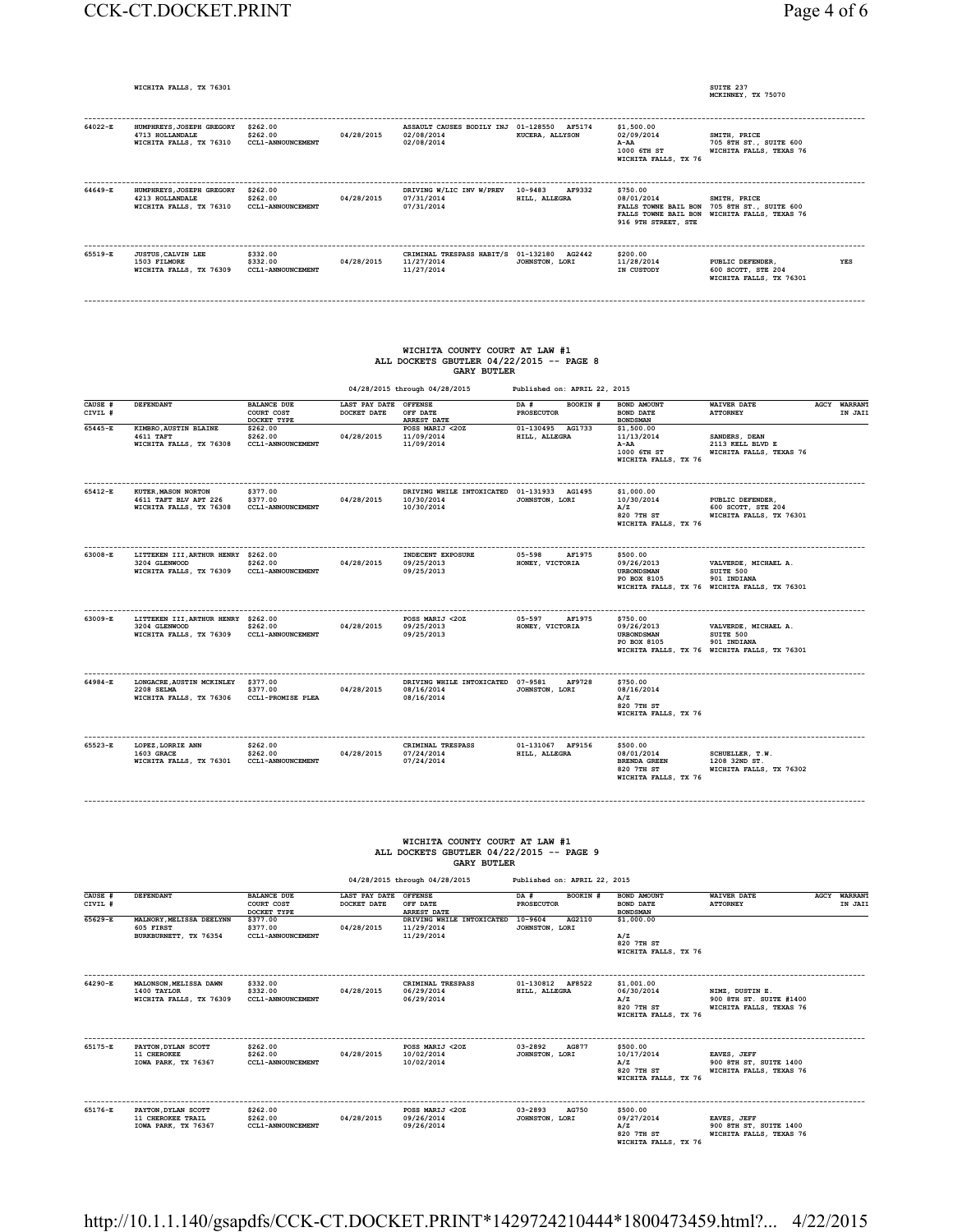### CCK-CT.DOCKET.PRINT Page 4 of 6

**WICHITA FALLS, TX 76301** 

 **MCKINNEY, TX 75070** 

| 64022-E | HUMPHREYS, JOSEPH GREGORY<br>4713 HOLLANDALE<br>WICHITA FALLS, TX 76310 | \$262.00<br>\$262.00<br><b>CCL1-ANNOUNCEMENT</b> | 04/28/2015 | ASSAULT CAUSES BODILY INJ 01-128550 AF5174<br>02/08/2014<br>02/08/2014 | KUCERA, ALLYSON                    | \$1,500.00<br>02/09/2014<br>A-AA<br>1000 6TH ST<br>WICHITA FALLS, TX 76 | SMITH, PRICE<br>705 8TH ST., SUITE 600<br>WICHITA FALLS, TEXAS 76                                           |     |
|---------|-------------------------------------------------------------------------|--------------------------------------------------|------------|------------------------------------------------------------------------|------------------------------------|-------------------------------------------------------------------------|-------------------------------------------------------------------------------------------------------------|-----|
| 64649-E | HUMPHREYS, JOSEPH GREGORY<br>4213 HOLLANDALE<br>WICHITA FALLS, TX 76310 | \$262.00<br>\$262.00<br><b>CCL1-ANNOUNCEMENT</b> | 04/28/2015 | DRIVING W/LIC INV W/PREV<br>07/31/2014<br>07/31/2014                   | 10-9483<br>AF9332<br>HILL, ALLEGRA | \$750.00<br>08/01/2014<br>916 9TH STREET, STE                           | SMITH, PRICE<br>FALLS TOWNE BAIL BON 705 8TH ST., SUITE 600<br>FALLS TOWNE BAIL BON WICHITA FALLS, TEXAS 76 |     |
| 65519-E | <b>JUSTUS, CALVIN LEE</b><br>1503 FILMORE<br>WICHITA FALLS, TX 76309    | \$332.00<br>\$332.00<br><b>CCL1-ANNOUNCEMENT</b> | 04/28/2015 | CRIMINAL TRESPASS HABIT/S 01-132180<br>11/27/2014<br>11/27/2014        | AG2442<br>JOHNSTON, LORI           | \$200.00<br>11/28/2014<br>IN CUSTODY                                    | PUBLIC DEFENDER.<br>600 SCOTT, STE 204<br>WICHITA FALLS, TX 76301                                           | YES |

**------------------------------------------------------------------------------------------------------------------------------------------------------------------------------------------**

## **WICHITA COUNTY COURT AT LAW #1 ALL DOCKETS GBUTLER 04/22/2015 -- PAGE 8 GARY BUTLER**

| 04/28/2015 through 04/28/2015 | Published on: APRIL 22, 2015 |
|-------------------------------|------------------------------|
|                               |                              |

| CAUSE #<br>CIVIL # | <b>DEFENDANT</b>                                                                | <b>BALANCE DUE</b><br>COURT COST<br>DOCKET TYPE  | LAST PAY DATE OFFENSE<br>DOCKET DATE | OFF DATE<br><b>ARREST DATE</b>                                         | DA #<br>BOOKIN #<br><b>PROSECUTOR</b>   | BOND AMOUNT<br><b>BOND DATE</b><br><b>BONDSMAN</b>                                  | <b>WAIVER DATE</b><br><b>ATTORNEY</b>                                                            | AGCY WARRANT<br>IN JAII |
|--------------------|---------------------------------------------------------------------------------|--------------------------------------------------|--------------------------------------|------------------------------------------------------------------------|-----------------------------------------|-------------------------------------------------------------------------------------|--------------------------------------------------------------------------------------------------|-------------------------|
| 65445-E            | KIMBRO, AUSTIN BLAINE<br>4611 TAFT<br>WICHITA FALLS, TX 76308                   | \$262.00<br>\$262.00<br><b>CCL1-ANNOUNCEMENT</b> | 04/28/2015                           | POSS MARIJ <20Z<br>11/09/2014<br>11/09/2014                            | 01-130495 AG1733<br>HILL, ALLEGRA       | \$1,500.00<br>11/13/2014<br>A-AA<br>1000 6TH ST<br>WICHITA FALLS, TX 76             | SANDERS, DEAN<br>2113 KELL BLVD E<br>WICHITA FALLS, TEXAS 76                                     |                         |
| 65412-E            | KUTER, MASON NORTON<br>4611 TAFT BLV APT 226<br>WICHITA FALLS, TX 76308         | \$377.00<br>\$377.00<br><b>CCL1-ANNOUNCEMENT</b> | 04/28/2015                           | DRIVING WHILE INTOXICATED 01-131933 AG1495<br>10/30/2014<br>10/30/2014 | JOHNSTON, LORI                          | \$1,000.00<br>10/30/2014<br>A/Z<br>820 7TH ST<br>WICHITA FALLS, TX 76               | PUBLIC DEFENDER,<br>600 SCOTT, STE 204<br>WICHITA FALLS, TX 76301                                |                         |
| 63008-E            | LITTEKEN III, ARTHUR HENRY \$262.00<br>3204 GLENWOOD<br>WICHITA FALLS, TX 76309 | \$262.00<br><b>CCL1-ANNOUNCEMENT</b>             | 04/28/2015                           | INDECENT EXPOSURE<br>09/25/2013<br>09/25/2013                          | $05 - 598$<br>AF1975<br>HONEY, VICTORIA | \$500.00<br>09/26/2013<br><b>URBONDSMAN</b><br>PO BOX 8105                          | VALVERDE, MICHAEL A.<br>SUITE 500<br>901 INDIANA<br>WICHITA FALLS, TX 76 WICHITA FALLS, TX 76301 |                         |
| 63009-E            | LITTEKEN III, ARTHUR HENRY \$262.00<br>3204 GLENWOOD<br>WICHITA FALLS, TX 76309 | \$262.00<br><b>CCL1-ANNOUNCEMENT</b>             | 04/28/2015                           | POSS MARIJ <20Z<br>09/25/2013<br>09/25/2013                            | $05 - 597$<br>AF1975<br>HONEY, VICTORIA | \$750.00<br>09/26/2013<br><b>URBONDSMAN</b><br>PO BOX 8105                          | VALVERDE, MICHAEL A.<br>SUITE 500<br>901 INDIANA<br>WICHITA FALLS, TX 76 WICHITA FALLS, TX 76301 |                         |
| 64984-E            | LONGACRE, AUSTIN MCKINLEY<br>2208 SELMA<br>WICHITA FALLS, TX 76306              | \$377.00<br>\$377.00<br><b>CCL1-PROMISE PLEA</b> | 04/28/2015                           | DRIVING WHILE INTOXICATED 07-9581<br>08/16/2014<br>08/16/2014          | AF9728<br>JOHNSTON, LORI                | \$750.00<br>08/16/2014<br>A/Z<br>820 7TH ST<br>WICHITA FALLS, TX 76                 |                                                                                                  |                         |
| 65523-E            | LOPEZ, LORRIE ANN<br>1603 GRACE<br>WICHITA FALLS, TX 76301                      | \$262.00<br>\$262.00<br><b>CCL1-ANNOUNCEMENT</b> | 04/28/2015                           | CRIMINAL TRESPASS<br>07/24/2014<br>07/24/2014                          | 01-131067 AF9156<br>HILL, ALLEGRA       | \$500.00<br>08/01/2014<br><b>BRENDA GREEN</b><br>820 7TH ST<br>WICHITA FALLS, TX 76 | SCHUELLER, T.W.<br>1208 32ND ST.<br>WICHITA FALLS, TX 76302                                      |                         |

## **WICHITA COUNTY COURT AT LAW #1 ALL DOCKETS GBUTLER 04/22/2015 -- PAGE 9 GARY BUTLER**

**------------------------------------------------------------------------------------------------------------------------------------------------------------------------------------------**

 **04/28/2015 through 04/28/2015 Published on: APRIL 22, 2015**

| CAUSE #<br>CIVIL # | <b>DEFENDANT</b>                                                 | <b>BALANCE DUE</b><br>COURT COST<br>DOCKET TYPE  | LAST PAY DATE<br>DOCKET DATE | <b>OFFENSE</b><br>OFF DATE<br><b>ARREST DATE</b>      | BOOKIN #<br>DA #<br>PROSECUTOR         | BOND AMOUNT<br><b>BOND DATE</b><br><b>BONDSMAN</b>                    | <b>WAIVER DATE</b><br><b>ATTORNEY</b>                                 | AGCY | <b>WARRANT</b><br>IN JAIL |
|--------------------|------------------------------------------------------------------|--------------------------------------------------|------------------------------|-------------------------------------------------------|----------------------------------------|-----------------------------------------------------------------------|-----------------------------------------------------------------------|------|---------------------------|
| 65629-E            | MALNORY, MELISSA DEELYNN<br>605 FIRST<br>BURKBURNETT, TX 76354   | \$377.00<br>\$377.00<br><b>CCL1-ANNOUNCEMENT</b> | 04/28/2015                   | DRIVING WHILE INTOXICATED<br>11/29/2014<br>11/29/2014 | AG2110<br>10-9604<br>JOHNSTON, LORI    | \$1,000.00<br>A/Z<br>820 7TH ST<br>WICHITA FALLS, TX 76               |                                                                       |      |                           |
| 64290-E            | MALONSON, MELISSA DAWN<br>1400 TAYLOR<br>WICHITA FALLS, TX 76309 | \$332.00<br>\$332.00<br><b>CCL1-ANNOUNCEMENT</b> | 04/28/2015                   | CRIMINAL TRESPASS<br>06/29/2014<br>06/29/2014         | 01-130812 AF8522<br>HILL, ALLEGRA      | \$1,001.00<br>06/30/2014<br>A/Z<br>820 7TH ST<br>WICHITA FALLS, TX 76 | NIMZ, DUSTIN E.<br>900 8TH ST. SUITE #1400<br>WICHITA FALLS, TEXAS 76 |      |                           |
| 65175-E            | PAYTON, DYLAN SCOTT<br>11 CHEROKEE<br>IOWA PARK, TX 76367        | \$262.00<br>\$262.00<br><b>CCL1-ANNOUNCEMENT</b> | 04/28/2015                   | POSS MARIJ <20Z<br>10/02/2014<br>10/02/2014           | 03-2892<br>AG877<br>JOHNSTON, LORI     | \$500.00<br>10/17/2014<br>A/Z<br>820 7TH ST<br>WICHITA FALLS, TX 76   | EAVES, JEFF<br>900 8TH ST, SUITE 1400<br>WICHITA FALLS, TEXAS 76      |      |                           |
| 65176-E            | PAYTON, DYLAN SCOTT<br>11 CHEROKEE TRAIL<br>IOWA PARK, TX 76367  | \$262.00<br>\$262.00<br><b>CCL1-ANNOUNCEMENT</b> | 04/28/2015                   | POSS MARIJ <20Z<br>09/26/2014<br>09/26/2014           | $03 - 2893$<br>AG750<br>JOHNSTON, LORI | \$500.00<br>09/27/2014<br>A/Z<br>820 7TH ST<br>WICHITA FALLS, TX 76   | EAVES, JEFF<br>900 8TH ST, SUITE 1400<br>WICHITA FALLS, TEXAS 76      |      |                           |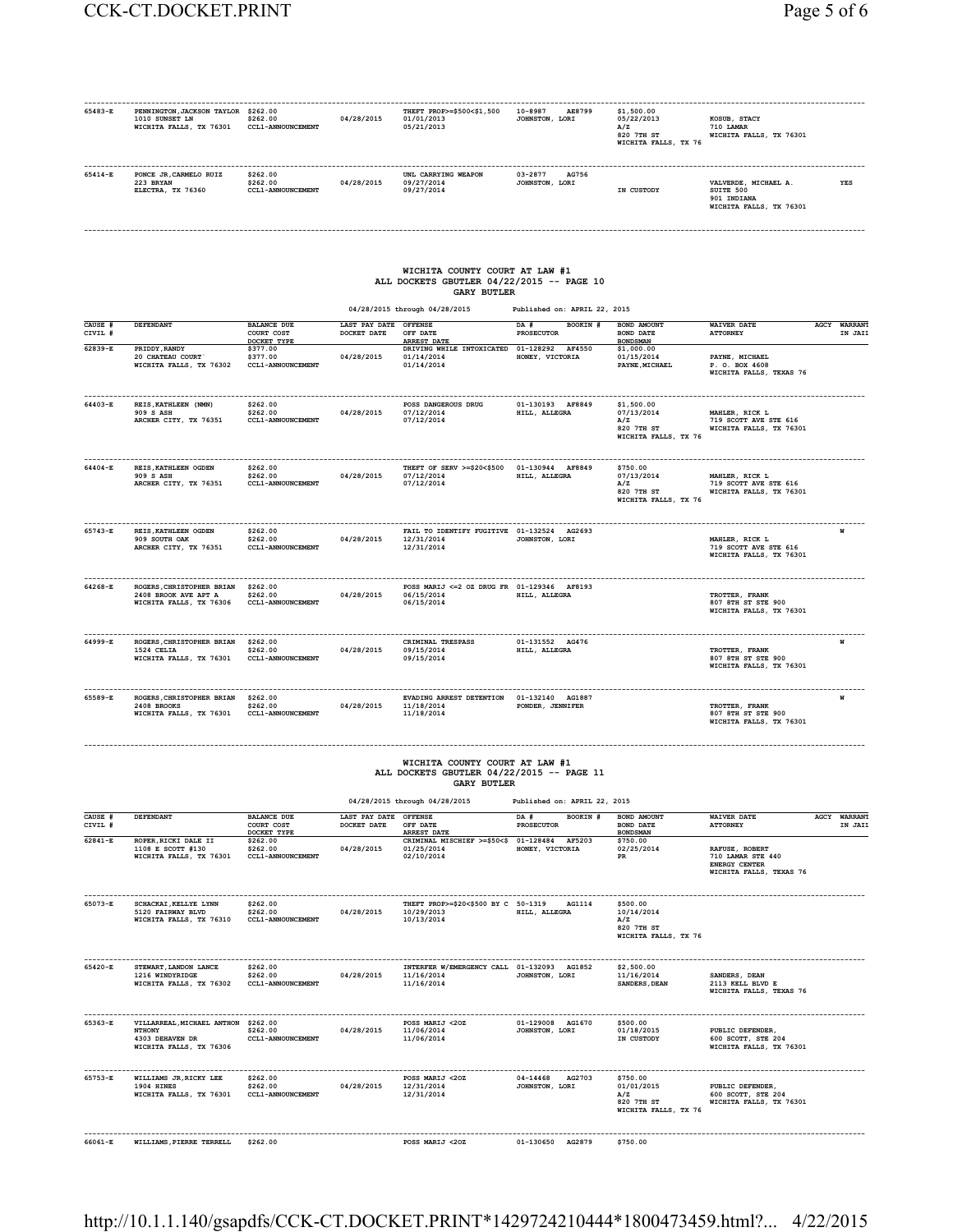| 65483-E            | PENNINGTON, JACKSON TAYLOR \$262.00<br>1010 SUNSET LN<br>WICHITA FALLS, TX 76301                   | \$262.00<br>CCL1-ANNOUNCEMENT                            | 04/28/2015                                    | THEFT PROP>=\$500<\$1,500<br>01/01/2013<br>05/21/2013                                                                              | 10-8987<br>AE8799<br>JOHNSTON, LORI | \$1,500,00<br>05/22/2013<br>A/Z<br>820 7TH ST<br>WICHITA FALLS, TX 76                                                                     | KOSUB, STACY<br>710 LAMAR<br>WICHITA FALLS, TX 76301                            |                         |
|--------------------|----------------------------------------------------------------------------------------------------|----------------------------------------------------------|-----------------------------------------------|------------------------------------------------------------------------------------------------------------------------------------|-------------------------------------|-------------------------------------------------------------------------------------------------------------------------------------------|---------------------------------------------------------------------------------|-------------------------|
| 65414-E            | PONCE JR, CARMELO RUIZ<br>223 BRYAN<br>ELECTRA, TX 76360                                           | \$262.00<br>\$262.00<br>CCL1-ANNOUNCEMENT                | 04/28/2015                                    | UNL CARRYING WEAPON<br>09/27/2014<br>09/27/2014                                                                                    | 03-2877<br>AG756<br>JOHNSTON, LORI  | IN CUSTODY                                                                                                                                | VALVERDE, MICHAEL A.<br>SUITE 500<br>901 INDIANA<br>WICHITA FALLS, TX 76301     | YES                     |
|                    |                                                                                                    |                                                          |                                               | WICHITA COUNTY COURT AT LAW #1<br>ALL DOCKETS GBUTLER 04/22/2015 -- PAGE 10<br><b>GARY BUTLER</b><br>04/28/2015 through 04/28/2015 | Published on: APRIL 22, 2015        |                                                                                                                                           |                                                                                 |                         |
| CAUSE #<br>CIVIL # | DEFENDANT                                                                                          | <b>BALANCE DUE</b><br>COURT COST                         | LAST PAY DATE<br>DOCKET DATE                  | <b>OFFENSE</b><br>OFF DATE                                                                                                         | BOOKIN #<br>DA #<br>PROSECUTOR      | BOND AMOUNT<br>BOND DATE                                                                                                                  | <b>WAIVER DATE</b><br><b>ATTORNEY</b>                                           | AGCY WARRANT<br>IN JAII |
| $62839 - E$        | PRIDDY, RANDY                                                                                      | DOCKET TYPE<br>\$377.00                                  |                                               | <b>ARREST DATE</b><br>DRIVING WHILE INTOXICATED 01-128292 AF4550                                                                   |                                     | <b>BONDSMAN</b><br>\$1,000.00                                                                                                             |                                                                                 |                         |
|                    | 20 CHATEAU COURT<br>WICHITA FALLS, TX 76302                                                        | \$377.00<br>CCL1-ANNOUNCEMENT                            | 04/28/2015                                    | 01/14/2014<br>01/14/2014                                                                                                           | HONEY, VICTORIA                     | 01/15/2014<br>PAYNE, MICHAEL                                                                                                              | PAYNE, MICHAEL<br>P. O. BOX 4608<br>WICHITA FALLS, TEXAS 76                     |                         |
| 64403-E            | REIS. KATHLEEN (NMN)<br>909 S ASH<br>ARCHER CITY, TX 76351                                         | \$262.00<br>\$262.00<br>CCL1-ANNOUNCEMENT                | 04/28/2015                                    | POSS DANGEROUS DRUG<br>07/12/2014<br>07/12/2014                                                                                    | 01-130193 AF8849<br>HILL, ALLEGRA   | \$1,500,00<br>07/13/2014<br>A/Z<br>820 7TH ST<br>WICHITA FALLS, TX 76                                                                     | MAHLER, RICK L<br>719 SCOTT AVE STE 616<br>WICHITA FALLS, TX 76301              |                         |
| 64404-E            | REIS. KATHLEEN OGDEN<br>909 S ASH<br>ARCHER CITY, TX 76351                                         | \$262.00<br>\$262.00<br>CCL1-ANNOUNCEMENT                | 04/28/2015                                    | THEFT OF SERV >=\$20<\$500 01-130944 AF8849<br>07/12/2014<br>07/12/2014                                                            | HILL, ALLEGRA                       | \$750.00<br>07/13/2014<br>MAHLER, RICK L<br>A/Z<br>719 SCOTT AVE STE 616<br>820 7TH ST<br>WICHITA FALLS, TX 76301<br>WICHITA FALLS, TX 76 |                                                                                 |                         |
| 65743-E            | REIS, KATHLEEN OGDEN<br>909 SOUTH OAK<br>ARCHER CITY, TX 76351                                     | \$262.00<br>\$262.00<br>CCL1-ANNOUNCEMENT                | 04/28/2015                                    | FAIL TO IDENTIFY FUGITIVE 01-132524 AG2693<br>12/31/2014<br>12/31/2014                                                             | JOHNSTON, LORI                      |                                                                                                                                           | MAHLER, RICK L<br>719 SCOTT AVE STE 616<br>WICHITA FALLS, TX 76301              | W                       |
| 64268-E            | ROGERS, CHRISTOPHER BRIAN<br>2408 BROOK AVE APT A<br>WICHITA FALLS, TX 76306                       | \$262.00<br>\$262.00<br>CCL1-ANNOUNCEMENT                | 04/28/2015                                    | POSS MARIJ <= 2 OZ DRUG FR 01-129346 AF8193<br>06/15/2014<br>06/15/2014                                                            | HILL, ALLEGRA                       |                                                                                                                                           | TROTTER, FRANK<br>807 8TH ST STE 900<br>WICHITA FALLS, TX 76301                 |                         |
| 64999-E            | ROGERS, CHRISTOPHER BRIAN<br>1524 CELIA<br>WICHITA FALLS, TX 76301                                 | \$262.00<br>\$262.00<br>CCL1-ANNOUNCEMENT                | 04/28/2015                                    | CRIMINAL TRESPASS<br>09/15/2014<br>09/15/2014                                                                                      | 01-131552 AG476<br>HILL, ALLEGRA    |                                                                                                                                           | TROTTER, FRANK<br>807 8TH ST STE 900<br>WICHITA FALLS, TX 76301                 | W                       |
| 65589-E            | ROGERS, CHRISTOPHER BRIAN<br>2408 BROOKS<br>WICHITA FALLS, TX 76301                                | \$262.00<br>\$262.00<br>CCL1-ANNOUNCEMENT                | 04/28/2015                                    | EVADING ARREST DETENTION  01-132140  AG1887<br>11/18/2014<br>11/18/2014                                                            | PONDER, JENNIFER                    |                                                                                                                                           | TROTTER, FRANK<br>807 8TH ST STE 900<br>WICHITA FALLS, TX 76301                 |                         |
|                    |                                                                                                    |                                                          |                                               | WICHITA COUNTY COURT AT LAW #1<br>ALL DOCKETS GBUTLER 04/22/2015 -- PAGE 11<br><b>GARY BUTLER</b><br>04/28/2015 through 04/28/2015 | Published on: APRIL 22, 2015        |                                                                                                                                           |                                                                                 |                         |
| CAUSE #<br>CIVIL # | <b>DEFENDANT</b>                                                                                   | <b>BALANCE DUE</b><br>COURT COST                         | LAST PAY DATE OFFENSE<br>DOCKET DATE OFF DATE |                                                                                                                                    | DA #<br>BOOKIN #<br>PROSECUTOR      | BOND AMOUNT<br><b>BOND DATE</b>                                                                                                           | <b>WAIVER DATE</b><br><b>ATTORNEY</b>                                           | AGCY WARRANT<br>IN JAII |
| 62841-E            | ROPER, RICKI DALE II<br>1108 E SCOTT #130<br>WICHITA FALLS, TX 76301                               | DOCKET TYPE<br>\$262.00<br>\$262.00<br>CCL1-ANNOUNCEMENT | 04/28/2015                                    | <b>ARREST DATE</b><br>CRIMINAL MISCHIEF >=\$50<\$ 01-128484 AF5203<br>01/25/2014<br>02/10/2014                                     | HONEY, VICTORIA                     | <b>BONDSMAN</b><br>\$750.00<br>02/25/2014<br>PR                                                                                           | RAFUSE, ROBERT<br>710 LAMAR STE 440<br>ENERGY CENTER<br>WICHITA FALLS, TEXAS 76 |                         |
| 65073-E            | SCHACKAI, KELLYE LYNN<br>5120 FAIRWAY BLVD<br>WICHITA FALLS, TX 76310                              | \$262.00<br>\$262.00<br>CCL1-ANNOUNCEMENT                | 04/28/2015                                    | THEFT PROP>=\$20<\$500 BY C 50-1319<br>10/29/2013<br>10/13/2014                                                                    | AG1114<br>HILL, ALLEGRA             | \$500.00<br>10/14/2014<br>A/Z<br>820 7TH ST<br>WICHITA FALLS, TX 76                                                                       |                                                                                 |                         |
| 65420-E            | STEWART, LANDON LANCE \$262.00<br>1216 WINDYRIDGE<br>WICHITA FALLS, TX 76302 CCL1-ANNOUNCEMENT     | \$262.00                                                 | 04/28/2015                                    | INTERFER W/EMERGENCY CALL 01-132093 AG1852<br>11/16/2014<br>11/16/2014                                                             | JOHNSTON, LORI                      | \$2,500.00<br>11/16/2014<br>SANDERS, DEAN                                                                                                 | SANDERS, DEAN<br>2113 KELL BLVD E<br>WICHITA FALLS, TEXAS 76                    |                         |
| 65363-E            | VILLARREAL. MICHAEL ANTHON \$262.00<br><b>NTHONY</b><br>4303 DEHAVEN DR<br>WICHITA FALLS, TX 76306 | \$262.00<br>CCL1-ANNOUNCEMENT                            | 04/28/2015                                    | POSS MARIJ <20Z<br>11/06/2014<br>11/06/2014                                                                                        | 01-129008 AG1670<br>JOHNSTON, LORI  | \$500.00<br>01/18/2015<br>IN CUSTODY                                                                                                      | PUBLIC DEFENDER,<br>600 SCOTT, STE 204<br>WICHITA FALLS, TX 76301               |                         |
| 65753-E            | WILLIAMS JR, RICKY LEE<br>1904 HINES<br>WICHITA FALLS, TX 76301 CCL1-ANNOUNCEMENT                  | \$262.00<br>\$262.00                                     | 04/28/2015                                    | POSS MARIJ <20Z<br>12/31/2014<br>12/31/2014                                                                                        | 04-14468 AG2703<br>JOHNSTON, LORI   | \$750.00<br>01/01/2015<br>PUBLIC DEFENDER.<br>A/Z<br>600 SCOTT, STE 204<br>820 7TH ST<br>WICHITA FALLS, TX 76301<br>WICHITA FALLS, TX 76  |                                                                                 |                         |
| 66061-E            | WILLIAMS, PIERRE TERRELL                                                                           | \$262.00                                                 |                                               | POSS MARIJ <20Z                                                                                                                    | 01-130650 AG2879                    | \$750.00                                                                                                                                  |                                                                                 |                         |